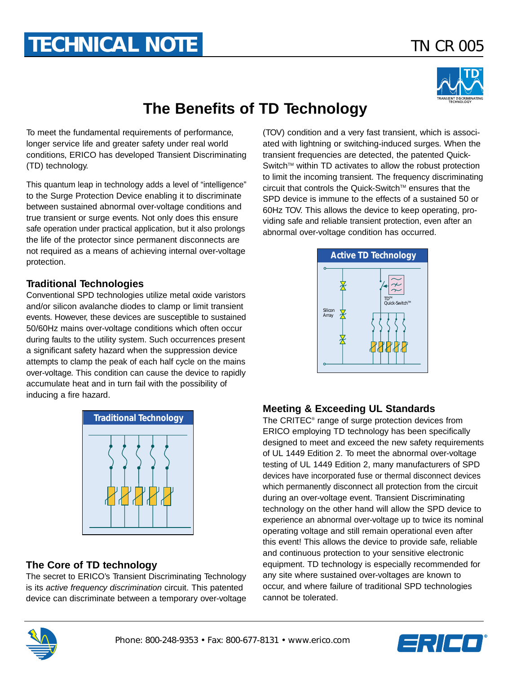# **TECHNICAL NOTE** *TN CR 005*



## **The Benefits of TD Technology**

To meet the fundamental requirements of performance, longer service life and greater safety under real world conditions, ERICO has developed Transient Discriminating (TD) technology.

This quantum leap in technology adds a level of "intelligence" to the Surge Protection Device enabling it to discriminate between sustained abnormal over-voltage conditions and true transient or surge events. Not only does this ensure safe operation under practical application, but it also prolongs the life of the protector since permanent disconnects are not required as a means of achieving internal over-voltage protection.

#### **Traditional Technologies**

Conventional SPD technologies utilize metal oxide varistors and/or silicon avalanche diodes to clamp or limit transient events. However, these devices are susceptible to sustained 50/60Hz mains over-voltage conditions which often occur during faults to the utility system. Such occurrences present a significant safety hazard when the suppression device attempts to clamp the peak of each half cycle on the mains over-voltage. This condition can cause the device to rapidly accumulate heat and in turn fail with the possibility of inducing a fire hazard.



#### **The Core of TD technology**

The secret to ERICO's Transient Discriminating Technology is its active frequency discrimination circuit. This patented device can discriminate between a temporary over-voltage (TOV) condition and a very fast transient, which is associated with lightning or switching-induced surges. When the transient frequencies are detected, the patented Quick-Switch™ within TD activates to allow the robust protection to limit the incoming transient. The frequency discriminating circuit that controls the Quick-Switch™ ensures that the SPD device is immune to the effects of a sustained 50 or 60Hz TOV. This allows the device to keep operating, providing safe and reliable transient protection, even after an abnormal over-voltage condition has occurred.



#### **Meeting & Exceeding UL Standards**

The CRITEC® range of surge protection devices from ERICO employing TD technology has been specifically designed to meet and exceed the new safety requirements of UL 1449 Edition 2. To meet the abnormal over-voltage testing of UL 1449 Edition 2, many manufacturers of SPD devices have incorporated fuse or thermal disconnect devices which permanently disconnect all protection from the circuit during an over-voltage event. Transient Discriminating technology on the other hand will allow the SPD device to experience an abnormal over-voltage up to twice its nominal operating voltage and still remain operational even after this event! This allows the device to provide safe, reliable and continuous protection to your sensitive electronic equipment. TD technology is especially recommended for any site where sustained over-voltages are known to occur, and where failure of traditional SPD technologies cannot be tolerated.